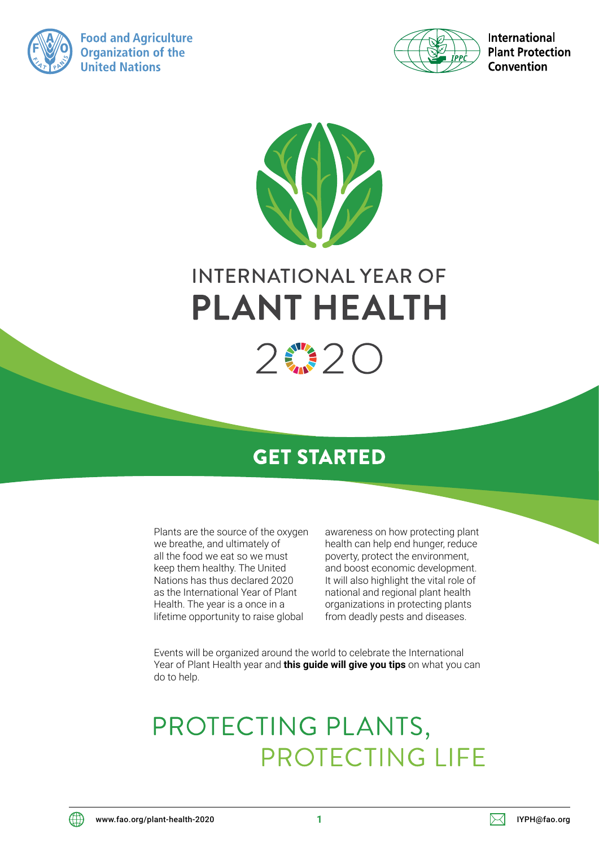

**Food and Agriculture Organization of the United Nations** 



**International Plant Protection** Convention



# **INTERNATIONAL YEAR OF PLANT HEALTH**



# **GET STARTED**

Plants are the source of the oxygen we breathe, and ultimately of all the food we eat so we must keep them healthy. The United Nations has thus declared 2020 as the International Year of Plant Health. The year is a once in a lifetime opportunity to raise global

awareness on how protecting plant health can help end hunger, reduce poverty, protect the environment, and boost economic development. It will also highlight the vital role of national and regional plant health organizations in protecting plants from deadly pests and diseases.

Events will be organized around the world to celebrate the International Year of Plant Health year and **this guide will give you tips** on what you can do to help.

# PROTECTING PLANTS, PROTECTING LIFE

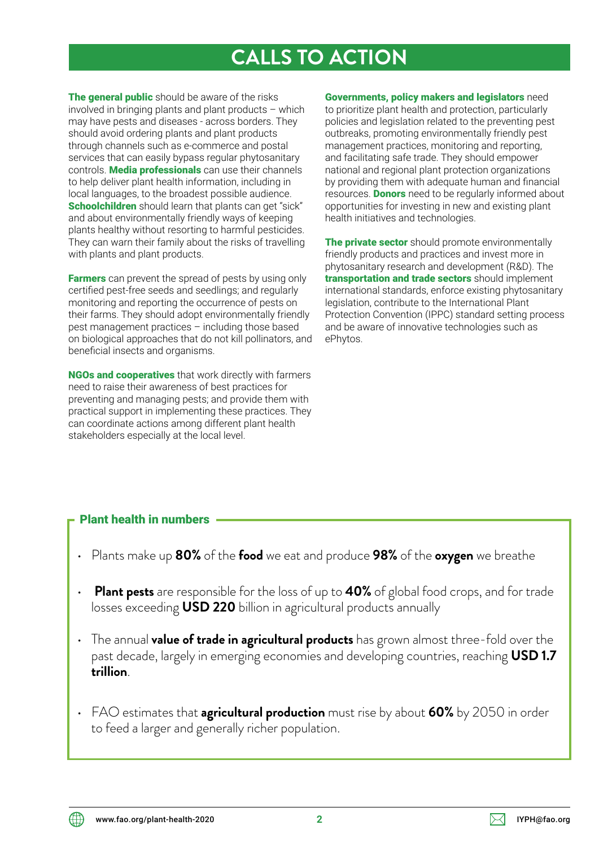## **CALLS TO ACTION**

The general public should be aware of the risks involved in bringing plants and plant products – which may have pests and diseases - across borders. They should avoid ordering plants and plant products through channels such as e-commerce and postal services that can easily bypass regular phytosanitary controls. **Media professionals** can use their channels to help deliver plant health information, including in local languages, to the broadest possible audience. Schoolchildren should learn that plants can get "sick" and about environmentally friendly ways of keeping plants healthy without resorting to harmful pesticides. They can warn their family about the risks of travelling with plants and plant products.

**Farmers** can prevent the spread of pests by using only certified pest-free seeds and seedlings; and regularly monitoring and reporting the occurrence of pests on their farms. They should adopt environmentally friendly pest management practices – including those based on biological approaches that do not kill pollinators, and beneficial insects and organisms.

**NGOs and cooperatives** that work directly with farmers need to raise their awareness of best practices for preventing and managing pests; and provide them with practical support in implementing these practices. They can coordinate actions among different plant health stakeholders especially at the local level.

Governments, policy makers and legislators need to prioritize plant health and protection, particularly policies and legislation related to the preventing pest outbreaks, promoting environmentally friendly pest management practices, monitoring and reporting, and facilitating safe trade. They should empower national and regional plant protection organizations by providing them with adequate human and financial resources. **Donors** need to be regularly informed about opportunities for investing in new and existing plant health initiatives and technologies.

The private sector should promote environmentally friendly products and practices and invest more in phytosanitary research and development (R&D). The transportation and trade sectors should implement international standards, enforce existing phytosanitary legislation, contribute to the International Plant Protection Convention (IPPC) standard setting process and be aware of innovative technologies such as ePhytos.

## Plant health in numbers

- Plants make up **80%** of the **food** we eat and produce **98%** of the **oxygen** we breathe
- **Plant pests** are responsible for the loss of up to **40%** of global food crops, and for trade losses exceeding **USD 220** billion in agricultural products annually
- The annual **value of trade in agricultural products** has grown almost three-fold over the past decade, largely in emerging economies and developing countries, reaching **USD 1.7 trillion**.
- FAO estimates that **agricultural production** must rise by about **60%** by 2050 in order to feed a larger and generally richer population.

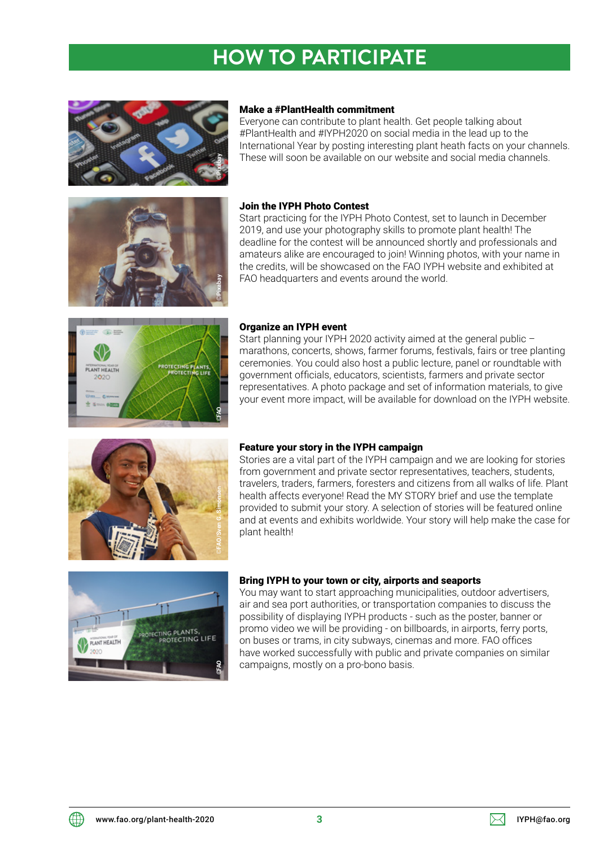# **HOW TO PARTICIPATE**



#### Make a #PlantHealth commitment

Everyone can contribute to plant health. Get people talking about #PlantHealth and #IYPH2020 on social media in the lead up to the International Year by posting interesting plant heath facts on your channels. These will soon be available on our website and social media channels.



#### Join the IYPH Photo Contest

Start practicing for the IYPH Photo Contest, set to launch in December 2019, and use your photography skills to promote plant health! The deadline for the contest will be announced shortly and professionals and amateurs alike are encouraged to join! Winning photos, with your name in the credits, will be showcased on the FAO IYPH website and exhibited at FAO headquarters and events around the world.



#### Organize an IYPH event

Start planning your IYPH 2020 activity aimed at the general public – marathons, concerts, shows, farmer forums, festivals, fairs or tree planting ceremonies. You could also host a public lecture, panel or roundtable with government officials, educators, scientists, farmers and private sector representatives. A photo package and set of information materials, to give your event more impact, will be available for download on the IYPH website.



#### Feature your story in the IYPH campaign

Stories are a vital part of the IYPH campaign and we are looking for stories from government and private sector representatives, teachers, students, travelers, traders, farmers, foresters and citizens from all walks of life. Plant health affects everyone! Read the MY STORY brief and use the template provided to submit your story. A selection of stories will be featured online and at events and exhibits worldwide. Your story will help make the case for plant health!



#### Bring IYPH to your town or city, airports and seaports

You may want to start approaching municipalities, outdoor advertisers, air and sea port authorities, or transportation companies to discuss the possibility of displaying IYPH products - such as the poster, banner or promo video we will be providing - on billboards, in airports, ferry ports, on buses or trams, in city subways, cinemas and more. FAO offices have worked successfully with public and private companies on similar campaigns, mostly on a pro-bono basis.

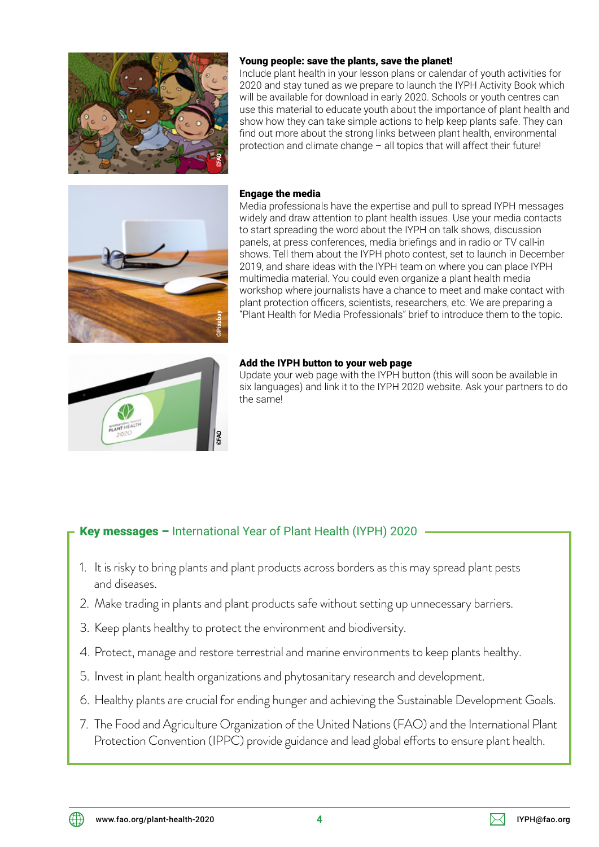

## Young people: save the plants, save the planet!

Include plant health in your lesson plans or calendar of youth activities for 2020 and stay tuned as we prepare to launch the IYPH Activity Book which will be available for download in early 2020. Schools or youth centres can use this material to educate youth about the importance of plant health and show how they can take simple actions to help keep plants safe. They can find out more about the strong links between plant health, environmental protection and climate change – all topics that will affect their future!



### Engage the media

Media professionals have the expertise and pull to spread IYPH messages widely and draw attention to plant health issues. Use your media contacts to start spreading the word about the IYPH on talk shows, discussion panels, at press conferences, media briefings and in radio or TV call-in shows. Tell them about the IYPH photo contest, set to launch in December 2019, and share ideas with the IYPH team on where you can place IYPH multimedia material. You could even organize a plant health media workshop where journalists have a chance to meet and make contact with plant protection officers, scientists, researchers, etc. We are preparing a "Plant Health for Media Professionals" brief to introduce them to the topic.



#### Add the IYPH button to your web page

Update your web page with the IYPH button (this will soon be available in six languages) and link it to the IYPH 2020 website. Ask your partners to do the same!

## Key messages - International Year of Plant Health (IYPH) 2020

- 1. It is risky to bring plants and plant products across borders as this may spread plant pests and diseases.
- 2. Make trading in plants and plant products safe without setting up unnecessary barriers.
- 3. Keep plants healthy to protect the environment and biodiversity.
- 4. Protect, manage and restore terrestrial and marine environments to keep plants healthy.
- 5. Invest in plant health organizations and phytosanitary research and development.
- 6. Healthy plants are crucial for ending hunger and achieving the Sustainable Development Goals.
- 7. The Food and Agriculture Organization of the United Nations (FAO) and the International Plant Protection Convention (IPPC) provide guidance and lead global efforts to ensure plant health.